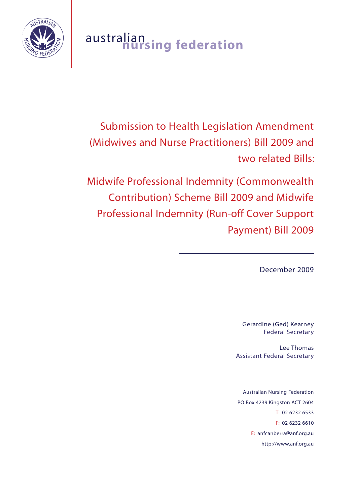

# australian **nursing federation**

Submission to Health Legislation Amendment (Midwives and Nurse Practitioners) Bill 2009 and two related Bills:

Midwife Professional Indemnity (Commonwealth Contribution) Scheme Bill 2009 and Midwife Professional Indemnity (Run-off Cover Support Payment) Bill 2009

December 2009

 $\overline{a}$ 

Gerardine (Ged) Kearney Federal Secretary

Lee Thomas Assistant Federal Secretary

Australian Nursing Federation PO Box 4239 Kingston ACT 2604 T: 02 6232 6533 F: 02 6232 6610 E: anfcanberra@anf.org.au http://www.anf.org.au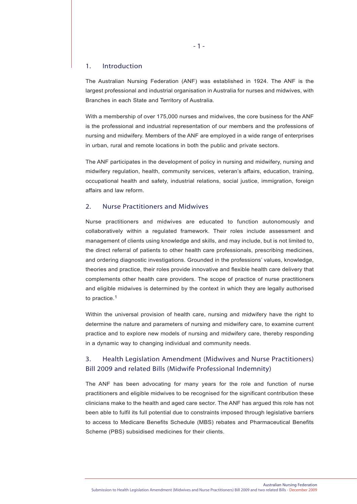#### 1. Introduction

The Australian Nursing Federation (ANF) was established in 1924. The ANF is the largest professional and industrial organisation in Australia for nurses and midwives, with Branches in each State and Territory of Australia.

With a membership of over 175,000 nurses and midwives, the core business for the ANF is the professional and industrial representation of our members and the professions of nursing and midwifery. Members of the ANF are employed in a wide range of enterprises in urban, rural and remote locations in both the public and private sectors.

The ANF participates in the development of policy in nursing and midwifery, nursing and midwifery regulation, health, community services, veteran's affairs, education, training, occupational health and safety, industrial relations, social justice, immigration, foreign affairs and law reform.

#### 2. Nurse Practitioners and Midwives

Nurse practitioners and midwives are educated to function autonomously and collaboratively within a regulated framework. Their roles include assessment and management of clients using knowledge and skills, and may include, but is not limited to, the direct referral of patients to other health care professionals, prescribing medicines, and ordering diagnostic investigations. Grounded in the professions' values, knowledge, theories and practice, their roles provide innovative and flexible health care delivery that complements other health care providers. The scope of practice of nurse practitioners and eligible midwives is determined by the context in which they are legally authorised to practice.1

Within the universal provision of health care, nursing and midwifery have the right to determine the nature and parameters of nursing and midwifery care, to examine current practice and to explore new models of nursing and midwifery care, thereby responding in a dynamic way to changing individual and community needs.

## 3. Health Legislation Amendment (Midwives and Nurse Practitioners) Bill 2009 and related Bills (Midwife Professional Indemnity)

The ANF has been advocating for many years for the role and function of nurse practitioners and eligible midwives to be recognised for the significant contribution these clinicians make to the health and aged care sector. The ANF has argued this role has not been able to fulfil its full potential due to constraints imposed through legislative barriers to access to Medicare Benefits Schedule (MBS) rebates and Pharmaceutical Benefits Scheme (PBS) subsidised medicines for their clients.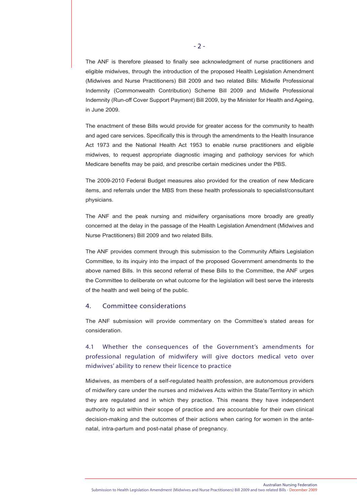The ANF is therefore pleased to finally see acknowledgment of nurse practitioners and eligible midwives, through the introduction of the proposed Health Legislation Amendment (Midwives and Nurse Practitioners) Bill 2009 and two related Bills: Midwife Professional Indemnity (Commonwealth Contribution) Scheme Bill 2009 and Midwife Professional Indemnity (Run-off Cover Support Payment) Bill 2009, by the Minister for Health and Ageing, in June 2009.

The enactment of these Bills would provide for greater access for the community to health and aged care services. Specifically this is through the amendments to the Health Insurance Act 1973 and the National Health Act 1953 to enable nurse practitioners and eligible midwives, to request appropriate diagnostic imaging and pathology services for which Medicare benefits may be paid, and prescribe certain medicines under the PBS.

The 2009-2010 Federal Budget measures also provided for the creation of new Medicare items, and referrals under the MBS from these health professionals to specialist/consultant physicians.

The ANF and the peak nursing and midwifery organisations more broadly are greatly concerned at the delay in the passage of the Health Legislation Amendment (Midwives and Nurse Practitioners) Bill 2009 and two related Bills.

The ANF provides comment through this submission to the Community Affairs Legislation Committee, to its inquiry into the impact of the proposed Government amendments to the above named Bills. In this second referral of these Bills to the Committee, the ANF urges the Committee to deliberate on what outcome for the legislation will best serve the interests of the health and well being of the public.

#### 4. Committee considerations

The ANF submission will provide commentary on the Committee's stated areas for consideration.

# 4.1 Whether the consequences of the Government's amendments for professional regulation of midwifery will give doctors medical veto over midwives' ability to renew their licence to practice

Midwives, as members of a self-regulated health profession, are autonomous providers of midwifery care under the nurses and midwives Acts within the State/Territory in which they are regulated and in which they practice. This means they have independent authority to act within their scope of practice and are accountable for their own clinical decision-making and the outcomes of their actions when caring for women in the antenatal, intra-partum and post-natal phase of pregnancy.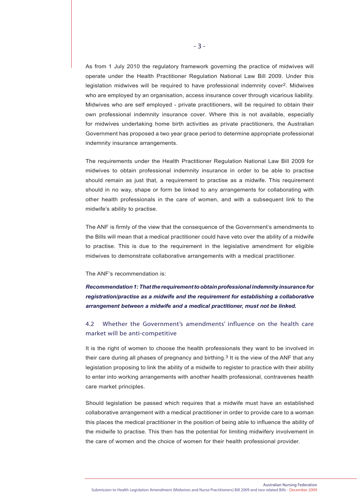As from 1 July 2010 the regulatory framework governing the practice of midwives will operate under the Health Practitioner Regulation National Law Bill 2009. Under this legislation midwives will be required to have professional indemnity cover2. Midwives who are employed by an organisation, access insurance cover through vicarious liability. Midwives who are self employed - private practitioners, will be required to obtain their own professional indemnity insurance cover. Where this is not available, especially for midwives undertaking home birth activities as private practitioners, the Australian Government has proposed a two year grace period to determine appropriate professional indemnity insurance arrangements.

The requirements under the Health Practitioner Regulation National Law Bill 2009 for midwives to obtain professional indemnity insurance in order to be able to practise should remain as just that, a requirement to practise as a midwife. This requirement should in no way, shape or form be linked to any arrangements for collaborating with other health professionals in the care of women, and with a subsequent link to the midwife's ability to practise.

The ANF is firmly of the view that the consequence of the Government's amendments to the Bills will mean that a medical practitioner could have veto over the ability of a midwife to practise. This is due to the requirement in the legislative amendment for eligible midwives to demonstrate collaborative arrangements with a medical practitioner.

#### The ANF's recommendation is:

*Recommendation 1: That the requirement to obtain professional indemnity insurance for registration/practise as a midwife and the requirement for establishing a collaborative arrangement between a midwife and a medical practitioner, must not be linked.*

# 4.2 Whether the Government's amendments' influence on the health care market will be anti-competitive

It is the right of women to choose the health professionals they want to be involved in their care during all phases of pregnancy and birthing.<sup>3</sup> It is the view of the ANF that any legislation proposing to link the ability of a midwife to register to practice with their ability to enter into working arrangements with another health professional, contravenes health care market principles.

Should legislation be passed which requires that a midwife must have an established collaborative arrangement with a medical practitioner in order to provide care to a woman this places the medical practitioner in the position of being able to influence the ability of the midwife to practise. This then has the potential for limiting midwifery involvement in the care of women and the choice of women for their health professional provider.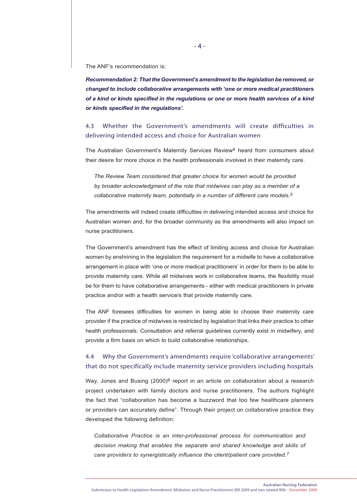The ANF's recommendation is:

*Recommendation 2: That the Government's amendment to the legislation be removed, or changed to include collaborative arrangements with 'one or more medical practitioners of a kind or kinds specified in the regulations or one or more health services of a kind or kinds specified in the regulations'.*

# 4.3 Whether the Government's amendments will create difficulties in delivering intended access and choice for Australian women

The Australian Government's Maternity Services Review4 heard from consumers about their desire for more choice in the health professionals involved in their maternity care.

*The Review Team considered that greater choice for women would be provided by broader acknowledgment of the role that midwives can play as a member of a collaborative maternity team, potentially in a number of different care models.5*

The amendments will indeed create difficulties in delivering intended access and choice for Australian women and, for the broader community as the amendments will also impact on nurse practitioners.

The Government's amendment has the effect of limiting access and choice for Australian women by enshrining in the legislation the requirement for a midwife to have a collaborative arrangement in place with 'one or more medical practitioners' in order for them to be able to provide maternity care. While all midwives work in collaborative teams, the flexibility must be for them to have collaborative arrangements - either with medical practitioners in private practice and/or with a health service/s that provide maternity care.

The ANF foresees difficulties for women in being able to choose their maternity care provider if the practice of midwives is restricted by legislation that links their practice to other health professionals. Consultation and referral guidelines currently exist in midwifery, and provide a firm basis on which to build collaborative relationships.

# 4.4 Why the Government's amendments require 'collaborative arrangements' that do not specifically include maternity service providers including hospitals

Way, Jones and Busing  $(2000)^6$  report in an article on collaboration about a research project undertaken with family doctors and nurse practitioners. The authors highlight the fact that "collaboration has become a buzzword that too few healthcare planners or providers can accurately define". Through their project on collaborative practice they developed the following definition:

*Collaborative Practice is an inter-professional process for communication and decision making that enables the separate and shared knowledge and skills of care providers to synergistically influence the client/patient care provided.7*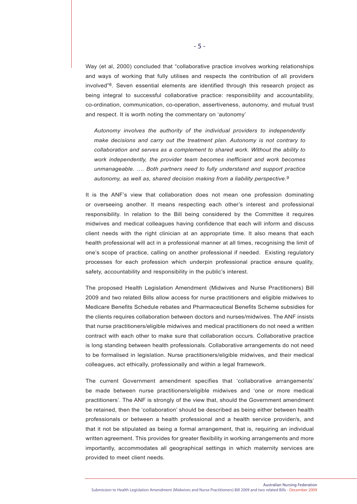Way (et al, 2000) concluded that "collaborative practice involves working relationships and ways of working that fully utilises and respects the contribution of all providers involved"8. Seven essential elements are identified through this research project as being integral to successful collaborative practice: responsibility and accountability, co-ordination, communication, co-operation, assertiveness, autonomy, and mutual trust and respect. It is worth noting the commentary on 'autonomy'

*Autonomy involves the authority of the individual providers to independently make decisions and carry out the treatment plan. Autonomy is not contrary to collaboration and serves as a complement to shared work. Without the ability to work independently, the provider team becomes inefficient and work becomes unmanageable. …. Both partners need to fully understand and support practice autonomy, as well as, shared decision making from a liability perspective.9*

It is the ANF's view that collaboration does not mean one profession dominating or overseeing another. It means respecting each other's interest and professional responsibility. In relation to the Bill being considered by the Committee it requires midwives and medical colleagues having confidence that each will inform and discuss client needs with the right clinician at an appropriate time. It also means that each health professional will act in a professional manner at all times, recognising the limit of one's scope of practice, calling on another professional if needed. Existing regulatory processes for each profession which underpin professional practice ensure quality, safety, accountability and responsibility in the public's interest.

The proposed Health Legislation Amendment (Midwives and Nurse Practitioners) Bill 2009 and two related Bills allow access for nurse practitioners and eligible midwives to Medicare Benefits Schedule rebates and Pharmaceutical Benefits Scheme subsidies for the clients requires collaboration between doctors and nurses/midwives. The ANF insists that nurse practitioners/eligible midwives and medical practitioners do not need a written contract with each other to make sure that collaboration occurs. Collaborative practice is long standing between health professionals. Collaborative arrangements do not need to be formalised in legislation. Nurse practitioners/eligible midwives, and their medical colleagues, act ethically, professionally and within a legal framework.

The current Government amendment specifies that 'collaborative arrangements' be made between nurse practitioners/eligible midwives and 'one or more medical practitioners'. The ANF is strongly of the view that, should the Government amendment be retained, then the 'collaboration' should be described as being either between health professionals or between a health professional and a health service provider/s, and that it not be stipulated as being a formal arrangement, that is, requiring an individual written agreement. This provides for greater flexibility in working arrangements and more importantly, accommodates all geographical settings in which maternity services are provided to meet client needs.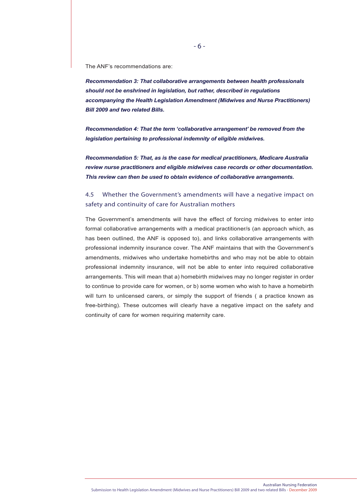The ANF's recommendations are:

*Recommendation 3: That collaborative arrangements between health professionals should not be enshrined in legislation, but rather, described in regulations accompanying the Health Legislation Amendment (Midwives and Nurse Practitioners) Bill 2009 and two related Bills.*

*Recommendation 4: That the term 'collaborative arrangement' be removed from the legislation pertaining to professional indemnity of eligible midwives.* 

*Recommendation 5: That, as is the case for medical practitioners, Medicare Australia review nurse practitioners and eligible midwives case records or other documentation. This review can then be used to obtain evidence of collaborative arrangements.*

# 4.5 Whether the Government's amendments will have a negative impact on safety and continuity of care for Australian mothers

The Government's amendments will have the effect of forcing midwives to enter into formal collaborative arrangements with a medical practitioner/s (an approach which, as has been outlined, the ANF is opposed to), and links collaborative arrangements with professional indemnity insurance cover. The ANF maintains that with the Government's amendments, midwives who undertake homebirths and who may not be able to obtain professional indemnity insurance, will not be able to enter into required collaborative arrangements. This will mean that a) homebirth midwives may no longer register in order to continue to provide care for women, or b) some women who wish to have a homebirth will turn to unlicensed carers, or simply the support of friends ( a practice known as free-birthing). These outcomes will clearly have a negative impact on the safety and continuity of care for women requiring maternity care.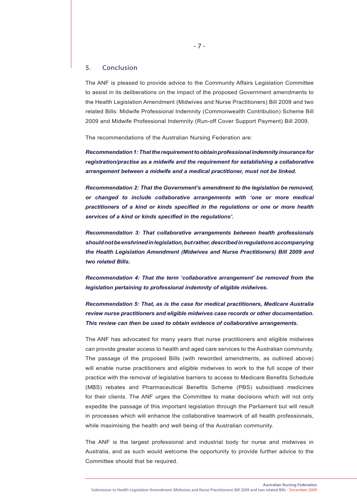#### 5. Conclusion

The ANF is pleased to provide advice to the Community Affairs Legislation Committee to assist in its deliberations on the impact of the proposed Government amendments to the Health Legislation Amendment (Midwives and Nurse Practitioners) Bill 2009 and two related Bills: Midwife Professional Indemnity (Commonwealth Contribution) Scheme Bill 2009 and Midwife Professional Indemnity (Run-off Cover Support Payment) Bill 2009.

The recommendations of the Australian Nursing Federation are:

*Recommendation 1: That the requirement to obtain professional indemnity insurance for registration/practise as a midwife and the requirement for establishing a collaborative arrangement between a midwife and a medical practitioner, must not be linked.*

*Recommendation 2: That the Government's amendment to the legislation be removed, or changed to include collaborative arrangements with 'one or more medical practitioners of a kind or kinds specified in the regulations or one or more health services of a kind or kinds specified in the regulations'.*

*Recommendation 3: That collaborative arrangements between health professionals should not be enshrined in legislation, but rather, described in regulations accompanying the Health Legislation Amendment (Midwives and Nurse Practitioners) Bill 2009 and two related Bills.*

*Recommendation 4: That the term 'collaborative arrangement' be removed from the legislation pertaining to professional indemnity of eligible midwives.* 

*Recommendation 5: That, as is the case for medical practitioners, Medicare Australia review nurse practitioners and eligible midwives case records or other documentation. This review can then be used to obtain evidence of collaborative arrangements.*

The ANF has advocated for many years that nurse practitioners and eligible midwives can provide greater access to health and aged care services to the Australian community. The passage of the proposed Bills (with reworded amendments, as outlined above) will enable nurse practitioners and eligible midwives to work to the full scope of their practice with the removal of legislative barriers to access to Medicare Benefits Schedule (MBS) rebates and Pharmaceutical Benefits Scheme (PBS) subsidised medicines for their clients. The ANF urges the Committee to make decisions which will not only expedite the passage of this important legislation through the Parliament but will result in processes which will enhance the collaborative teamwork of all health professionals, while maximising the health and well being of the Australian community.

The ANF is the largest professional and industrial body for nurse and midwives in Australia, and as such would welcome the opportunity to provide further advice to the Committee should that be required.